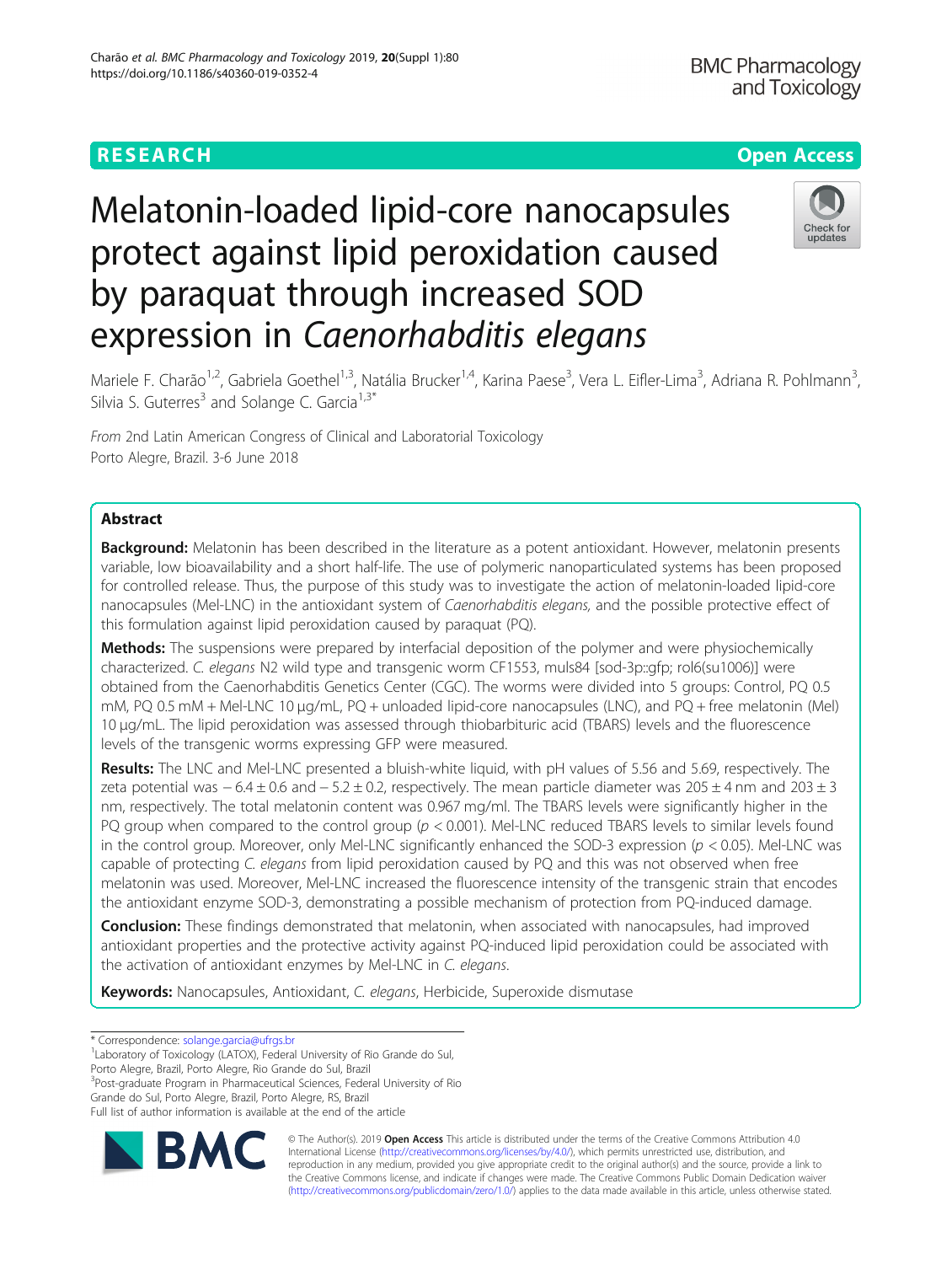## **RESEARCH CHE Open Access**

# Melatonin-loaded lipid-core nanocapsules protect against lipid peroxidation caused by paraquat through increased SOD expression in Caenorhabditis elegans



Mariele F. Charão<sup>1,2</sup>, Gabriela Goethel<sup>1,3</sup>, Natália Brucker<sup>1,4</sup>, Karina Paese<sup>3</sup>, Vera L. Eifler-Lima<sup>3</sup>, Adriana R. Pohlmann<sup>3</sup> , Silvia S. Guterres<sup>3</sup> and Solange C. Garcia<sup>1,3\*</sup>

From 2nd Latin American Congress of Clinical and Laboratorial Toxicology Porto Alegre, Brazil. 3-6 June 2018

### Abstract

Background: Melatonin has been described in the literature as a potent antioxidant. However, melatonin presents variable, low bioavailability and a short half-life. The use of polymeric nanoparticulated systems has been proposed for controlled release. Thus, the purpose of this study was to investigate the action of melatonin-loaded lipid-core nanocapsules (Mel-LNC) in the antioxidant system of Caenorhabditis elegans, and the possible protective effect of this formulation against lipid peroxidation caused by paraquat (PQ).

**Methods:** The suspensions were prepared by interfacial deposition of the polymer and were physiochemically characterized. C. elegans N2 wild type and transgenic worm CF1553, muls84 [sod-3p::gfp; rol6(su1006)] were obtained from the Caenorhabditis Genetics Center (CGC). The worms were divided into 5 groups: Control, PQ 0.5 mM, PQ 0.5 mM + Mel-LNC 10 μg/mL, PQ + unloaded lipid-core nanocapsules (LNC), and PQ + free melatonin (Mel) 10 μg/mL. The lipid peroxidation was assessed through thiobarbituric acid (TBARS) levels and the fluorescence levels of the transgenic worms expressing GFP were measured.

Results: The LNC and Mel-LNC presented a bluish-white liquid, with pH values of 5.56 and 5.69, respectively. The zeta potential was  $-6.4 \pm 0.6$  and  $-5.2 \pm 0.2$ , respectively. The mean particle diameter was  $205 \pm 4$  nm and  $203 \pm 3$ nm, respectively. The total melatonin content was 0.967 mg/ml. The TBARS levels were significantly higher in the PQ group when compared to the control group  $(p < 0.001)$ . Mel-LNC reduced TBARS levels to similar levels found in the control group. Moreover, only Mel-LNC significantly enhanced the SOD-3 expression ( $p < 0.05$ ). Mel-LNC was capable of protecting C. elegans from lipid peroxidation caused by PQ and this was not observed when free melatonin was used. Moreover, Mel-LNC increased the fluorescence intensity of the transgenic strain that encodes the antioxidant enzyme SOD-3, demonstrating a possible mechanism of protection from PQ-induced damage.

**Conclusion:** These findings demonstrated that melatonin, when associated with nanocapsules, had improved antioxidant properties and the protective activity against PQ-induced lipid peroxidation could be associated with the activation of antioxidant enzymes by Mel-LNC in C. elegans.

Keywords: Nanocapsules, Antioxidant, C. elegans, Herbicide, Superoxide dismutase

<sup>1</sup> Laboratory of Toxicology (LATOX), Federal University of Rio Grande do Sul,

Porto Alegre, Brazil, Porto Alegre, Rio Grande do Sul, Brazil

<sup>3</sup>Post-graduate Program in Pharmaceutical Sciences, Federal University of Rio Grande do Sul, Porto Alegre, Brazil, Porto Alegre, RS, Brazil

Full list of author information is available at the end of the article



© The Author(s). 2019 **Open Access** This article is distributed under the terms of the Creative Commons Attribution 4.0 International License [\(http://creativecommons.org/licenses/by/4.0/](http://creativecommons.org/licenses/by/4.0/)), which permits unrestricted use, distribution, and reproduction in any medium, provided you give appropriate credit to the original author(s) and the source, provide a link to the Creative Commons license, and indicate if changes were made. The Creative Commons Public Domain Dedication waiver [\(http://creativecommons.org/publicdomain/zero/1.0/](http://creativecommons.org/publicdomain/zero/1.0/)) applies to the data made available in this article, unless otherwise stated.

<sup>\*</sup> Correspondence: [solange.garcia@ufrgs.br](mailto:solange.garcia@ufrgs.br) <sup>1</sup>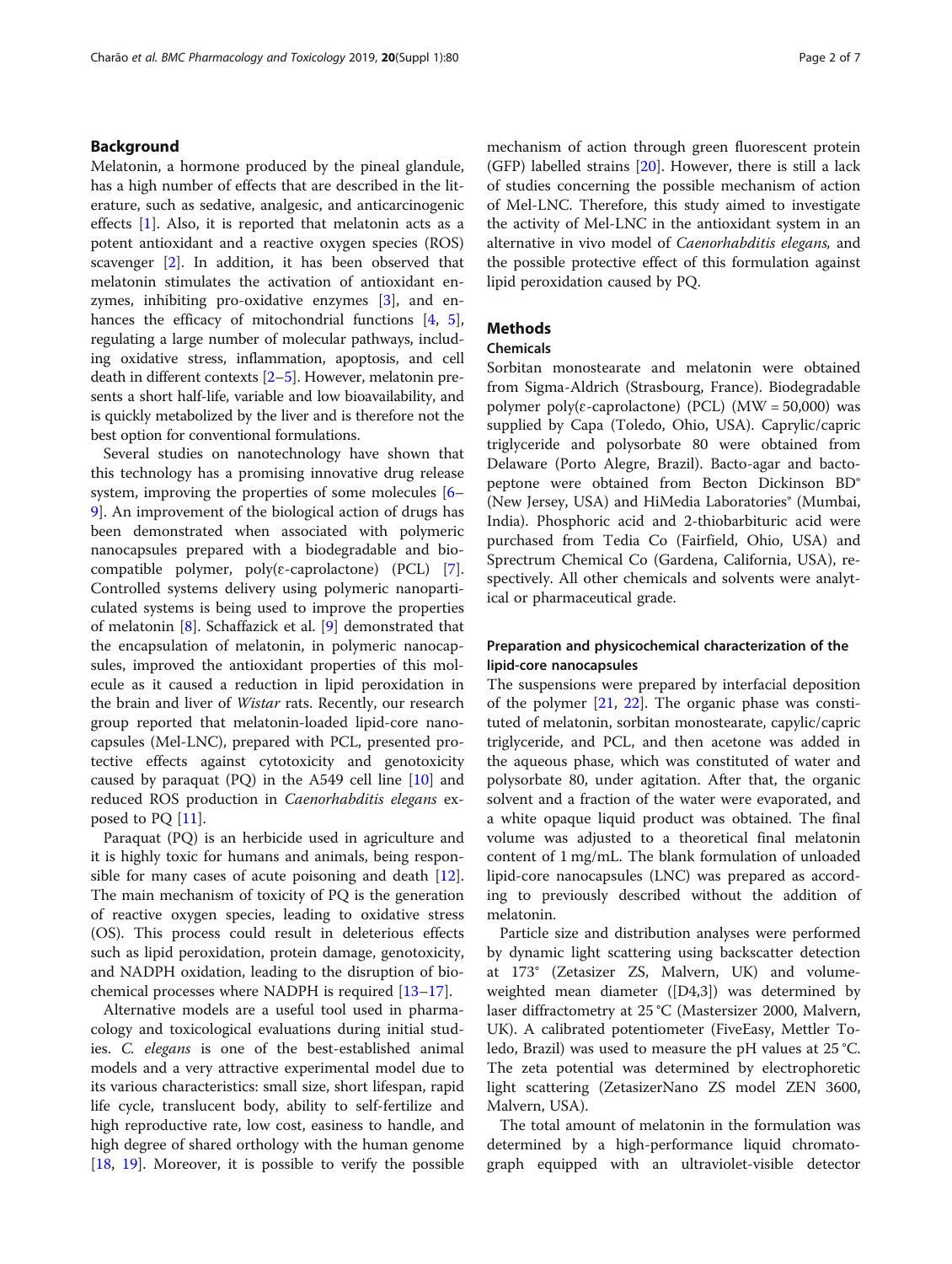#### Background

Melatonin, a hormone produced by the pineal glandule, has a high number of effects that are described in the literature, such as sedative, analgesic, and anticarcinogenic effects [[1\]](#page-5-0). Also, it is reported that melatonin acts as a potent antioxidant and a reactive oxygen species (ROS) scavenger [\[2](#page-5-0)]. In addition, it has been observed that melatonin stimulates the activation of antioxidant enzymes, inhibiting pro-oxidative enzymes [[3\]](#page-5-0), and en-hances the efficacy of mitochondrial functions [[4,](#page-5-0) [5](#page-5-0)], regulating a large number of molecular pathways, including oxidative stress, inflammation, apoptosis, and cell death in different contexts [\[2](#page-5-0)–[5\]](#page-5-0). However, melatonin presents a short half-life, variable and low bioavailability, and is quickly metabolized by the liver and is therefore not the best option for conventional formulations.

Several studies on nanotechnology have shown that this technology has a promising innovative drug release system, improving the properties of some molecules [[6](#page-5-0)– [9\]](#page-5-0). An improvement of the biological action of drugs has been demonstrated when associated with polymeric nanocapsules prepared with a biodegradable and biocompatible polymer,  $poly(\varepsilon$ -caprolactone) (PCL) [\[7](#page-5-0)]. Controlled systems delivery using polymeric nanoparticulated systems is being used to improve the properties of melatonin [\[8](#page-5-0)]. Schaffazick et al. [[9\]](#page-5-0) demonstrated that the encapsulation of melatonin, in polymeric nanocapsules, improved the antioxidant properties of this molecule as it caused a reduction in lipid peroxidation in the brain and liver of Wistar rats. Recently, our research group reported that melatonin-loaded lipid-core nanocapsules (Mel-LNC), prepared with PCL, presented protective effects against cytotoxicity and genotoxicity caused by paraquat (PQ) in the A549 cell line  $[10]$  $[10]$  $[10]$  and reduced ROS production in Caenorhabditis elegans exposed to PQ [[11\]](#page-5-0).

Paraquat (PQ) is an herbicide used in agriculture and it is highly toxic for humans and animals, being respon-sible for many cases of acute poisoning and death [\[12](#page-5-0)]. The main mechanism of toxicity of PQ is the generation of reactive oxygen species, leading to oxidative stress (OS). This process could result in deleterious effects such as lipid peroxidation, protein damage, genotoxicity, and NADPH oxidation, leading to the disruption of biochemical processes where NADPH is required [\[13](#page-5-0)–[17\]](#page-5-0).

Alternative models are a useful tool used in pharmacology and toxicological evaluations during initial studies. C. elegans is one of the best-established animal models and a very attractive experimental model due to its various characteristics: small size, short lifespan, rapid life cycle, translucent body, ability to self-fertilize and high reproductive rate, low cost, easiness to handle, and high degree of shared orthology with the human genome [[18,](#page-5-0) [19](#page-5-0)]. Moreover, it is possible to verify the possible mechanism of action through green fluorescent protein (GFP) labelled strains [[20\]](#page-6-0). However, there is still a lack of studies concerning the possible mechanism of action of Mel-LNC. Therefore, this study aimed to investigate the activity of Mel-LNC in the antioxidant system in an alternative in vivo model of Caenorhabditis elegans, and the possible protective effect of this formulation against lipid peroxidation caused by PQ.

#### **Methods**

#### Chemicals

Sorbitan monostearate and melatonin were obtained from Sigma-Aldrich (Strasbourg, France). Biodegradable polymer poly( $\varepsilon$ -caprolactone) (PCL) (MW = 50,000) was supplied by Capa (Toledo, Ohio, USA). Caprylic/capric triglyceride and polysorbate 80 were obtained from Delaware (Porto Alegre, Brazil). Bacto-agar and bactopeptone were obtained from Becton Dickinson BD® (New Jersey, USA) and HiMedia Laboratories® (Mumbai, India). Phosphoric acid and 2-thiobarbituric acid were purchased from Tedia Co (Fairfield, Ohio, USA) and Sprectrum Chemical Co (Gardena, California, USA), respectively. All other chemicals and solvents were analytical or pharmaceutical grade.

#### Preparation and physicochemical characterization of the lipid-core nanocapsules

The suspensions were prepared by interfacial deposition of the polymer  $[21, 22]$  $[21, 22]$  $[21, 22]$  $[21, 22]$ . The organic phase was constituted of melatonin, sorbitan monostearate, capylic/capric triglyceride, and PCL, and then acetone was added in the aqueous phase, which was constituted of water and polysorbate 80, under agitation. After that, the organic solvent and a fraction of the water were evaporated, and a white opaque liquid product was obtained. The final volume was adjusted to a theoretical final melatonin content of 1 mg/mL. The blank formulation of unloaded lipid-core nanocapsules (LNC) was prepared as according to previously described without the addition of melatonin.

Particle size and distribution analyses were performed by dynamic light scattering using backscatter detection at 173° (Zetasizer ZS, Malvern, UK) and volumeweighted mean diameter ([D4,3]) was determined by laser diffractometry at 25 °C (Mastersizer 2000, Malvern, UK). A calibrated potentiometer (FiveEasy, Mettler Toledo, Brazil) was used to measure the pH values at 25 °C. The zeta potential was determined by electrophoretic light scattering (ZetasizerNano ZS model ZEN 3600, Malvern, USA).

The total amount of melatonin in the formulation was determined by a high-performance liquid chromatograph equipped with an ultraviolet-visible detector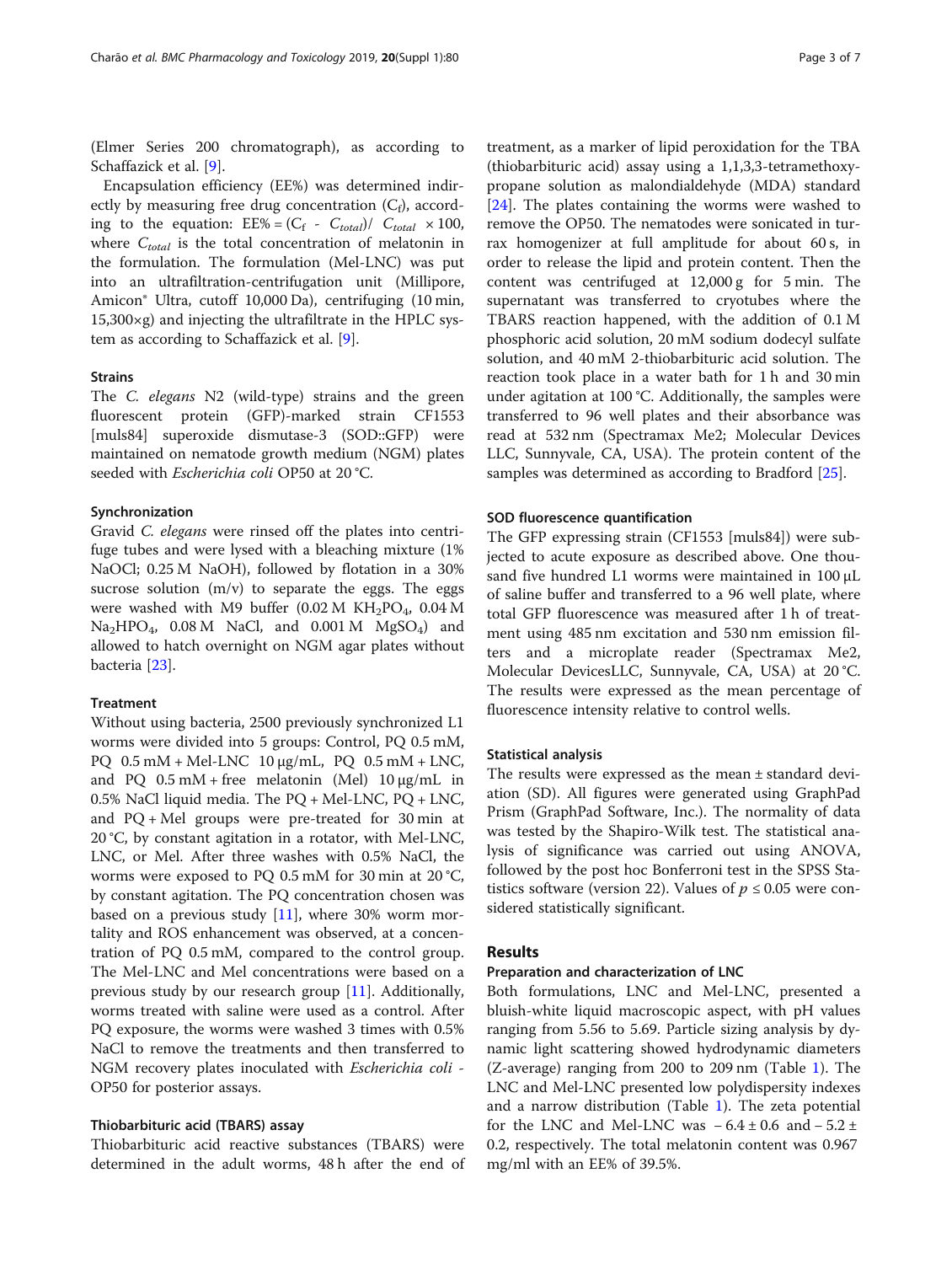(Elmer Series 200 chromatograph), as according to Schaffazick et al. [[9\]](#page-5-0).

Encapsulation efficiency (EE%) was determined indirectly by measuring free drug concentration  $(C_f)$ , according to the equation:  $EE% = (C_f - C_{total})/C_{total} \times 100$ , where  $C_{total}$  is the total concentration of melatonin in the formulation. The formulation (Mel-LNC) was put into an ultrafiltration-centrifugation unit (Millipore, Amicon® Ultra, cutoff 10,000 Da), centrifuging (10 min,  $15,300\times g$ ) and injecting the ultrafiltrate in the HPLC system as according to Schaffazick et al. [[9\]](#page-5-0).

#### Strains

The C. elegans N2 (wild-type) strains and the green fluorescent protein (GFP)-marked strain CF1553 [muls84] superoxide dismutase-3 (SOD::GFP) were maintained on nematode growth medium (NGM) plates seeded with Escherichia coli OP50 at 20 °C.

#### Synchronization

Gravid C. elegans were rinsed off the plates into centrifuge tubes and were lysed with a bleaching mixture (1% NaOCl; 0.25 M NaOH), followed by flotation in a 30% sucrose solution  $(m/v)$  to separate the eggs. The eggs were washed with M9 buffer  $(0.02 \text{ M } KH_{2}PO_{4}$ , 0.04 M  $Na<sub>2</sub>HPO<sub>4</sub>$ , 0.08 M NaCl, and 0.001 M MgSO<sub>4</sub>) and allowed to hatch overnight on NGM agar plates without bacteria [[23\]](#page-6-0).

#### **Treatment**

Without using bacteria, 2500 previously synchronized L1 worms were divided into 5 groups: Control, PQ 0.5 mM, PQ 0.5 mM + Mel-LNC 10 μg/mL, PQ 0.5 mM + LNC, and PQ  $0.5$  mM + free melatonin (Mel)  $10 \mu g/mL$  in 0.5% NaCl liquid media. The PQ + Mel-LNC, PQ + LNC, and PQ + Mel groups were pre-treated for 30 min at 20 °C, by constant agitation in a rotator, with Mel-LNC, LNC, or Mel. After three washes with 0.5% NaCl, the worms were exposed to PQ 0.5 mM for 30 min at 20 °C, by constant agitation. The PQ concentration chosen was based on a previous study [[11\]](#page-5-0), where 30% worm mortality and ROS enhancement was observed, at a concentration of PQ 0.5 mM, compared to the control group. The Mel-LNC and Mel concentrations were based on a previous study by our research group [[11](#page-5-0)]. Additionally, worms treated with saline were used as a control. After PQ exposure, the worms were washed 3 times with 0.5% NaCl to remove the treatments and then transferred to NGM recovery plates inoculated with Escherichia coli - OP50 for posterior assays.

#### Thiobarbituric acid (TBARS) assay

Thiobarbituric acid reactive substances (TBARS) were determined in the adult worms, 48 h after the end of

treatment, as a marker of lipid peroxidation for the TBA (thiobarbituric acid) assay using a 1,1,3,3-tetramethoxypropane solution as malondialdehyde (MDA) standard [[24\]](#page-6-0). The plates containing the worms were washed to remove the OP50. The nematodes were sonicated in turrax homogenizer at full amplitude for about 60 s, in order to release the lipid and protein content. Then the content was centrifuged at 12,000 g for 5 min. The supernatant was transferred to cryotubes where the TBARS reaction happened, with the addition of 0.1 M phosphoric acid solution, 20 mM sodium dodecyl sulfate solution, and 40 mM 2-thiobarbituric acid solution. The reaction took place in a water bath for 1 h and 30 min under agitation at 100 °C. Additionally, the samples were transferred to 96 well plates and their absorbance was read at 532 nm (Spectramax Me2; Molecular Devices LLC, Sunnyvale, CA, USA). The protein content of the samples was determined as according to Bradford [[25\]](#page-6-0).

#### SOD fluorescence quantification

The GFP expressing strain (CF1553 [muls84]) were subjected to acute exposure as described above. One thousand five hundred L1 worms were maintained in 100 μL of saline buffer and transferred to a 96 well plate, where total GFP fluorescence was measured after 1 h of treatment using 485 nm excitation and 530 nm emission filters and a microplate reader (Spectramax Me2, Molecular DevicesLLC, Sunnyvale, CA, USA) at 20 °C. The results were expressed as the mean percentage of fluorescence intensity relative to control wells.

#### Statistical analysis

The results were expressed as the mean ± standard deviation (SD). All figures were generated using GraphPad Prism (GraphPad Software, Inc.). The normality of data was tested by the Shapiro-Wilk test. The statistical analysis of significance was carried out using ANOVA, followed by the post hoc Bonferroni test in the SPSS Statistics software (version 22). Values of  $p \leq 0.05$  were considered statistically significant.

#### Results

#### Preparation and characterization of LNC

Both formulations, LNC and Mel-LNC, presented a bluish-white liquid macroscopic aspect, with pH values ranging from 5.56 to 5.69. Particle sizing analysis by dynamic light scattering showed hydrodynamic diameters (Z-average) ranging from 200 to 209 nm (Table [1](#page-3-0)). The LNC and Mel-LNC presented low polydispersity indexes and a narrow distribution (Table [1](#page-3-0)). The zeta potential for the LNC and Mel-LNC was  $-6.4 \pm 0.6$  and  $-5.2 \pm$ 0.2, respectively. The total melatonin content was 0.967 mg/ml with an EE% of 39.5%.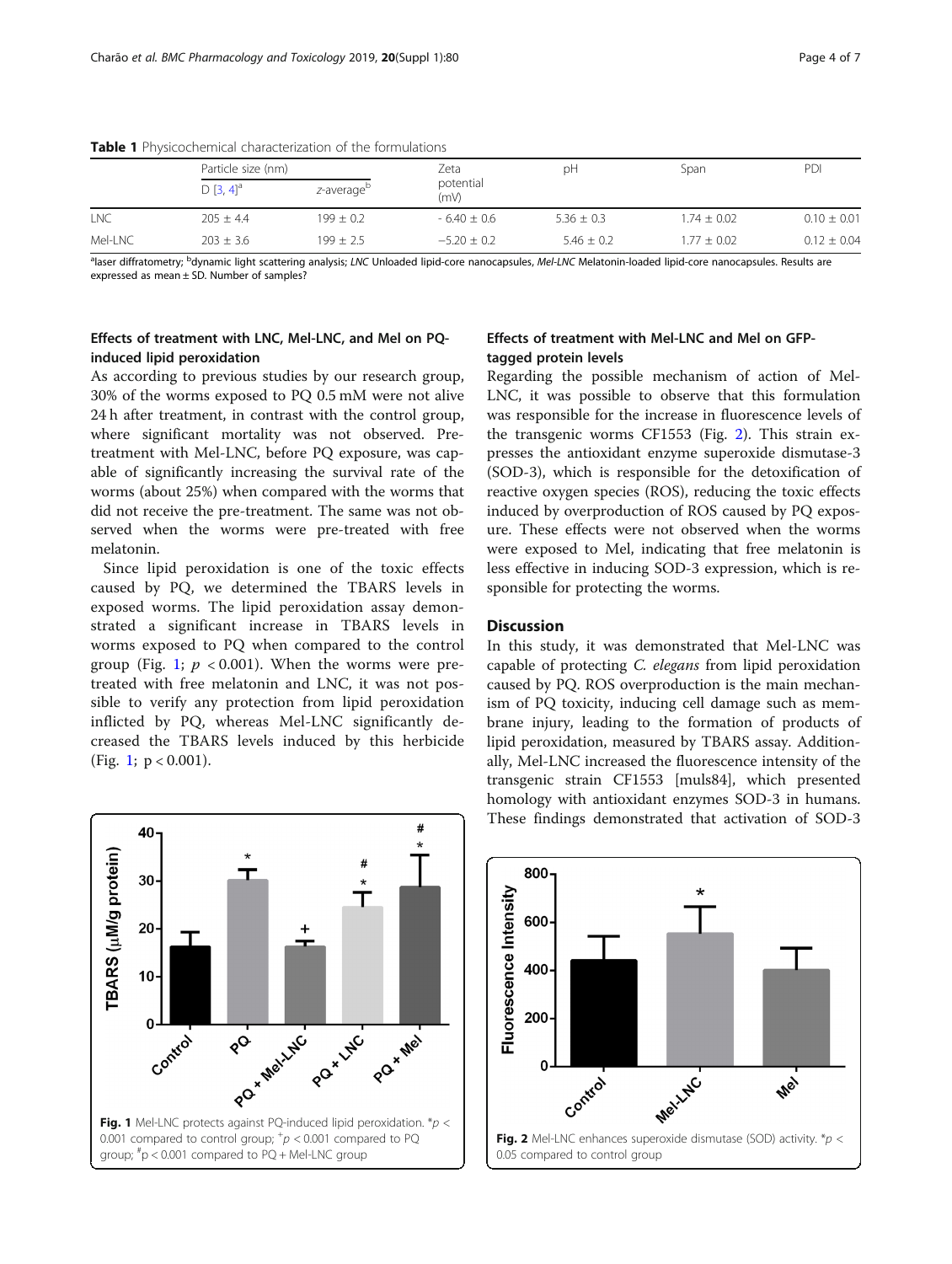|         | Particle size (nm)      |                        | Zeta              | pH             | Span            | PDI             |
|---------|-------------------------|------------------------|-------------------|----------------|-----------------|-----------------|
|         | $D [3, 4]$ <sup>a</sup> | z-average <sup>D</sup> | potential<br>(mV) |                |                 |                 |
| LNC     | $205 \pm 4.4$           | $199 \pm 0.2$          | $-6.40 \pm 0.6$   | $5.36 \pm 0.3$ | $1.74 \pm 0.02$ | $0.10 \pm 0.01$ |
| Mel-LNC | $203 + 3.6$             | $199 + 2.5$            | $-5.20 + 0.2$     | $5.46 + 0.2$   | $1.77 + 0.02$   | $0.12 \pm 0.04$ |

<span id="page-3-0"></span>Table 1 Physicochemical characterization of the formulations

<sup>a</sup>laser diffratometry; <sup>b</sup>dynamic light scattering analysis; LNC Unloaded lipid-core nanocapsules, Mel-LNC Melatonin-loaded lipid-core nanocapsules. Results are expressed as mean ± SD. Number of samples?

#### Effects of treatment with LNC, Mel-LNC, and Mel on PQinduced lipid peroxidation

As according to previous studies by our research group, 30% of the worms exposed to PQ 0.5 mM were not alive 24 h after treatment, in contrast with the control group, where significant mortality was not observed. Pretreatment with Mel-LNC, before PQ exposure, was capable of significantly increasing the survival rate of the worms (about 25%) when compared with the worms that did not receive the pre-treatment. The same was not observed when the worms were pre-treated with free melatonin.

Since lipid peroxidation is one of the toxic effects caused by PQ, we determined the TBARS levels in exposed worms. The lipid peroxidation assay demonstrated a significant increase in TBARS levels in worms exposed to PQ when compared to the control group (Fig. 1;  $p < 0.001$ ). When the worms were pretreated with free melatonin and LNC, it was not possible to verify any protection from lipid peroxidation inflicted by PQ, whereas Mel-LNC significantly decreased the TBARS levels induced by this herbicide (Fig. 1;  $p < 0.001$ ).

#### Effects of treatment with Mel-LNC and Mel on GFPtagged protein levels

Regarding the possible mechanism of action of Mel-LNC, it was possible to observe that this formulation was responsible for the increase in fluorescence levels of the transgenic worms CF1553 (Fig. 2). This strain expresses the antioxidant enzyme superoxide dismutase-3 (SOD-3), which is responsible for the detoxification of reactive oxygen species (ROS), reducing the toxic effects induced by overproduction of ROS caused by PQ exposure. These effects were not observed when the worms were exposed to Mel, indicating that free melatonin is less effective in inducing SOD-3 expression, which is responsible for protecting the worms.

#### **Discussion**

In this study, it was demonstrated that Mel-LNC was capable of protecting C. elegans from lipid peroxidation caused by PQ. ROS overproduction is the main mechanism of PQ toxicity, inducing cell damage such as membrane injury, leading to the formation of products of lipid peroxidation, measured by TBARS assay. Additionally, Mel-LNC increased the fluorescence intensity of the transgenic strain CF1553 [muls84], which presented homology with antioxidant enzymes SOD-3 in humans. These findings demonstrated that activation of SOD-3



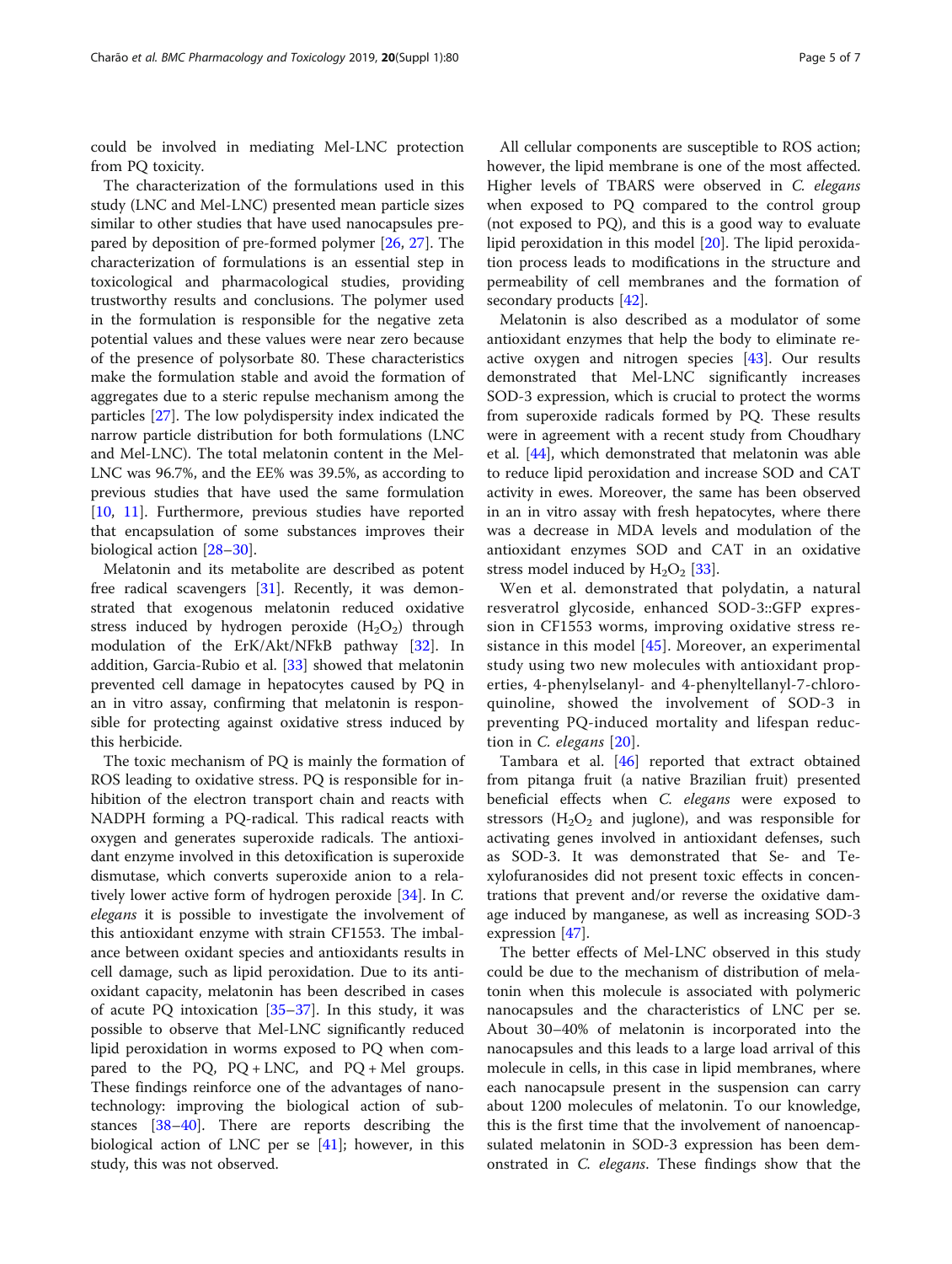could be involved in mediating Mel-LNC protection from PQ toxicity.

The characterization of the formulations used in this study (LNC and Mel-LNC) presented mean particle sizes similar to other studies that have used nanocapsules prepared by deposition of pre-formed polymer [\[26,](#page-6-0) [27\]](#page-6-0). The characterization of formulations is an essential step in toxicological and pharmacological studies, providing trustworthy results and conclusions. The polymer used in the formulation is responsible for the negative zeta potential values and these values were near zero because of the presence of polysorbate 80. These characteristics make the formulation stable and avoid the formation of aggregates due to a steric repulse mechanism among the particles [\[27\]](#page-6-0). The low polydispersity index indicated the narrow particle distribution for both formulations (LNC and Mel-LNC). The total melatonin content in the Mel-LNC was 96.7%, and the EE% was 39.5%, as according to previous studies that have used the same formulation [[10,](#page-5-0) [11](#page-5-0)]. Furthermore, previous studies have reported that encapsulation of some substances improves their biological action [[28](#page-6-0)–[30](#page-6-0)].

Melatonin and its metabolite are described as potent free radical scavengers [[31\]](#page-6-0). Recently, it was demonstrated that exogenous melatonin reduced oxidative stress induced by hydrogen peroxide  $(H_2O_2)$  through modulation of the ErK/Akt/NFkB pathway [\[32](#page-6-0)]. In addition, Garcia-Rubio et al. [[33\]](#page-6-0) showed that melatonin prevented cell damage in hepatocytes caused by PQ in an in vitro assay, confirming that melatonin is responsible for protecting against oxidative stress induced by this herbicide.

The toxic mechanism of PQ is mainly the formation of ROS leading to oxidative stress. PQ is responsible for inhibition of the electron transport chain and reacts with NADPH forming a PQ-radical. This radical reacts with oxygen and generates superoxide radicals. The antioxidant enzyme involved in this detoxification is superoxide dismutase, which converts superoxide anion to a relatively lower active form of hydrogen peroxide [[34](#page-6-0)]. In C. elegans it is possible to investigate the involvement of this antioxidant enzyme with strain CF1553. The imbalance between oxidant species and antioxidants results in cell damage, such as lipid peroxidation. Due to its antioxidant capacity, melatonin has been described in cases of acute PQ intoxication [\[35](#page-6-0)–[37\]](#page-6-0). In this study, it was possible to observe that Mel-LNC significantly reduced lipid peroxidation in worms exposed to PQ when compared to the PQ,  $PQ + LNC$ , and  $PQ + Mel$  groups. These findings reinforce one of the advantages of nanotechnology: improving the biological action of substances [[38](#page-6-0)–[40](#page-6-0)]. There are reports describing the biological action of LNC per se  $[41]$  $[41]$ ; however, in this study, this was not observed.

All cellular components are susceptible to ROS action; however, the lipid membrane is one of the most affected. Higher levels of TBARS were observed in C. elegans when exposed to PQ compared to the control group (not exposed to PQ), and this is a good way to evaluate lipid peroxidation in this model [[20\]](#page-6-0). The lipid peroxidation process leads to modifications in the structure and permeability of cell membranes and the formation of secondary products [\[42](#page-6-0)].

Melatonin is also described as a modulator of some antioxidant enzymes that help the body to eliminate reactive oxygen and nitrogen species [\[43\]](#page-6-0). Our results demonstrated that Mel-LNC significantly increases SOD-3 expression, which is crucial to protect the worms from superoxide radicals formed by PQ. These results were in agreement with a recent study from Choudhary et al. [[44\]](#page-6-0), which demonstrated that melatonin was able to reduce lipid peroxidation and increase SOD and CAT activity in ewes. Moreover, the same has been observed in an in vitro assay with fresh hepatocytes, where there was a decrease in MDA levels and modulation of the antioxidant enzymes SOD and CAT in an oxidative stress model induced by  $H_2O_2$  [\[33](#page-6-0)].

Wen et al. demonstrated that polydatin, a natural resveratrol glycoside, enhanced SOD-3::GFP expression in CF1553 worms, improving oxidative stress re-sistance in this model [[45](#page-6-0)]. Moreover, an experimental study using two new molecules with antioxidant properties, 4-phenylselanyl- and 4-phenyltellanyl-7-chloroquinoline, showed the involvement of SOD-3 in preventing PQ-induced mortality and lifespan reduction in C. elegans [[20\]](#page-6-0).

Tambara et al. [\[46](#page-6-0)] reported that extract obtained from pitanga fruit (a native Brazilian fruit) presented beneficial effects when C. elegans were exposed to stressors  $(H_2O_2)$  and juglone), and was responsible for activating genes involved in antioxidant defenses, such as SOD-3. It was demonstrated that Se- and Texylofuranosides did not present toxic effects in concentrations that prevent and/or reverse the oxidative damage induced by manganese, as well as increasing SOD-3 expression [[47\]](#page-6-0).

The better effects of Mel-LNC observed in this study could be due to the mechanism of distribution of melatonin when this molecule is associated with polymeric nanocapsules and the characteristics of LNC per se. About 30–40% of melatonin is incorporated into the nanocapsules and this leads to a large load arrival of this molecule in cells, in this case in lipid membranes, where each nanocapsule present in the suspension can carry about 1200 molecules of melatonin. To our knowledge, this is the first time that the involvement of nanoencapsulated melatonin in SOD-3 expression has been demonstrated in C. elegans. These findings show that the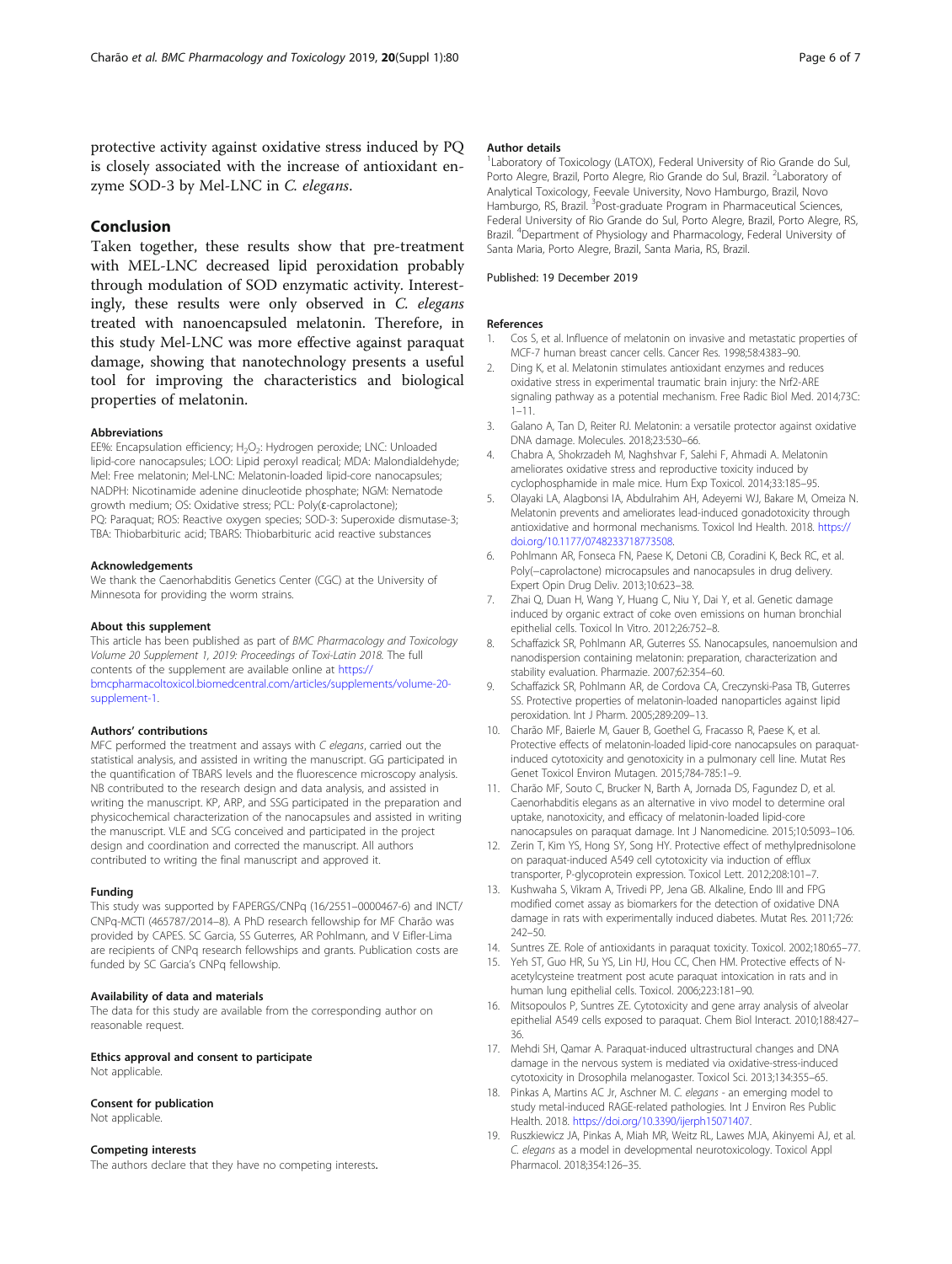<span id="page-5-0"></span>protective activity against oxidative stress induced by PQ is closely associated with the increase of antioxidant enzyme SOD-3 by Mel-LNC in C. elegans.

#### Conclusion

Taken together, these results show that pre-treatment with MEL-LNC decreased lipid peroxidation probably through modulation of SOD enzymatic activity. Interestingly, these results were only observed in C. elegans treated with nanoencapsuled melatonin. Therefore, in this study Mel-LNC was more effective against paraquat damage, showing that nanotechnology presents a useful tool for improving the characteristics and biological properties of melatonin.

#### Abbreviations

EE%: Encapsulation efficiency; H<sub>2</sub>O<sub>2</sub>: Hydrogen peroxide; LNC: Unloaded lipid-core nanocapsules; LOO: Lipid peroxyl readical; MDA: Malondialdehyde; Mel: Free melatonin; Mel-LNC: Melatonin-loaded lipid-core nanocapsules; NADPH: Nicotinamide adenine dinucleotide phosphate; NGM: Nematode growth medium; OS: Oxidative stress; PCL: Poly(ɛ-caprolactone); PQ: Paraquat; ROS: Reactive oxygen species; SOD-3: Superoxide dismutase-3; TBA: Thiobarbituric acid; TBARS: Thiobarbituric acid reactive substances

#### Acknowledgements

We thank the Caenorhabditis Genetics Center (CGC) at the University of Minnesota for providing the worm strains.

#### About this supplement

This article has been published as part of BMC Pharmacology and Toxicology Volume 20 Supplement 1, 2019: Proceedings of Toxi-Latin 2018. The full contents of the supplement are available online at [https://](https://bmcpharmacoltoxicol.biomedcentral.com/articles/supplements/volume-20-supplement-1) [bmcpharmacoltoxicol.biomedcentral.com/articles/supplements/volume-20](https://bmcpharmacoltoxicol.biomedcentral.com/articles/supplements/volume-20-supplement-1) [supplement-1](https://bmcpharmacoltoxicol.biomedcentral.com/articles/supplements/volume-20-supplement-1).

#### Authors' contributions

MFC performed the treatment and assays with C elegans, carried out the statistical analysis, and assisted in writing the manuscript. GG participated in the quantification of TBARS levels and the fluorescence microscopy analysis. NB contributed to the research design and data analysis, and assisted in writing the manuscript. KP, ARP, and SSG participated in the preparation and physicochemical characterization of the nanocapsules and assisted in writing the manuscript. VLE and SCG conceived and participated in the project design and coordination and corrected the manuscript. All authors contributed to writing the final manuscript and approved it.

#### Funding

This study was supported by FAPERGS/CNPq (16/2551–0000467-6) and INCT/ CNPq-MCTI (465787/2014–8). A PhD research fellowship for MF Charão was provided by CAPES. SC Garcia, SS Guterres, AR Pohlmann, and V Eifler-Lima are recipients of CNPq research fellowships and grants. Publication costs are funded by SC Garcia's CNPq fellowship.

#### Availability of data and materials

The data for this study are available from the corresponding author on reasonable request.

#### Ethics approval and consent to participate Not applicable.

#### Consent for publication

Not applicable.

#### Competing interests

The authors declare that they have no competing interests.

#### Author details

<sup>1</sup> Laboratory of Toxicology (LATOX), Federal University of Rio Grande do Sul Porto Alegre, Brazil, Porto Alegre, Rio Grande do Sul, Brazil. <sup>2</sup>Laboratory of Analytical Toxicology, Feevale University, Novo Hamburgo, Brazil, Novo Hamburgo, RS, Brazil. <sup>3</sup>Post-graduate Program in Pharmaceutical Sciences, Federal University of Rio Grande do Sul, Porto Alegre, Brazil, Porto Alegre, RS, Brazil. <sup>4</sup> Department of Physiology and Pharmacology, Federal University of Santa Maria, Porto Alegre, Brazil, Santa Maria, RS, Brazil.

#### Published: 19 December 2019

#### References

- 1. Cos S, et al. Influence of melatonin on invasive and metastatic properties of MCF-7 human breast cancer cells. Cancer Res. 1998;58:4383–90.
- 2. Ding K, et al. Melatonin stimulates antioxidant enzymes and reduces oxidative stress in experimental traumatic brain injury: the Nrf2-ARE signaling pathway as a potential mechanism. Free Radic Biol Med. 2014;73C: 1–11.
- 3. Galano A, Tan D, Reiter RJ. Melatonin: a versatile protector against oxidative DNA damage. Molecules. 2018;23:530–66.
- 4. Chabra A, Shokrzadeh M, Naghshvar F, Salehi F, Ahmadi A. Melatonin ameliorates oxidative stress and reproductive toxicity induced by cyclophosphamide in male mice. Hum Exp Toxicol. 2014;33:185–95.
- 5. Olayaki LA, Alagbonsi IA, Abdulrahim AH, Adeyemi WJ, Bakare M, Omeiza N. Melatonin prevents and ameliorates lead-induced gonadotoxicity through antioxidative and hormonal mechanisms. Toxicol Ind Health. 2018. [https://](https://doi.org/10.1177/0748233718773508) [doi.org/10.1177/0748233718773508.](https://doi.org/10.1177/0748233718773508)
- 6. Pohlmann AR, Fonseca FN, Paese K, Detoni CB, Coradini K, Beck RC, et al. Poly(-caprolactone) microcapsules and nanocapsules in drug delivery. Expert Opin Drug Deliv. 2013;10:623–38.
- 7. Zhai Q, Duan H, Wang Y, Huang C, Niu Y, Dai Y, et al. Genetic damage induced by organic extract of coke oven emissions on human bronchial epithelial cells. Toxicol In Vitro. 2012;26:752–8.
- 8. Schaffazick SR, Pohlmann AR, Guterres SS. Nanocapsules, nanoemulsion and nanodispersion containing melatonin: preparation, characterization and stability evaluation. Pharmazie. 2007;62:354–60.
- 9. Schaffazick SR, Pohlmann AR, de Cordova CA, Creczynski-Pasa TB, Guterres SS. Protective properties of melatonin-loaded nanoparticles against lipid peroxidation. Int J Pharm. 2005;289:209–13.
- 10. Charão MF, Baierle M, Gauer B, Goethel G, Fracasso R, Paese K, et al. Protective effects of melatonin-loaded lipid-core nanocapsules on paraquatinduced cytotoxicity and genotoxicity in a pulmonary cell line. Mutat Res Genet Toxicol Environ Mutagen. 2015;784-785:1–9.
- 11. Charão MF, Souto C, Brucker N, Barth A, Jornada DS, Fagundez D, et al. Caenorhabditis elegans as an alternative in vivo model to determine oral uptake, nanotoxicity, and efficacy of melatonin-loaded lipid-core nanocapsules on paraquat damage. Int J Nanomedicine. 2015;10:5093–106.
- 12. Zerin T, Kim YS, Hong SY, Song HY. Protective effect of methylprednisolone on paraquat-induced A549 cell cytotoxicity via induction of efflux transporter, P-glycoprotein expression. Toxicol Lett. 2012;208:101–7.
- 13. Kushwaha S, Vikram A, Trivedi PP, Jena GB. Alkaline, Endo III and FPG modified comet assay as biomarkers for the detection of oxidative DNA damage in rats with experimentally induced diabetes. Mutat Res. 2011;726: 242–50.
- 14. Suntres ZE. Role of antioxidants in paraquat toxicity. Toxicol. 2002;180:65–77.
- 15. Yeh ST, Guo HR, Su YS, Lin HJ, Hou CC, Chen HM. Protective effects of Nacetylcysteine treatment post acute paraquat intoxication in rats and in human lung epithelial cells. Toxicol. 2006;223:181–90.
- 16. Mitsopoulos P, Suntres ZE. Cytotoxicity and gene array analysis of alveolar epithelial A549 cells exposed to paraquat. Chem Biol Interact. 2010;188:427– 36.
- 17. Mehdi SH, Qamar A. Paraquat-induced ultrastructural changes and DNA damage in the nervous system is mediated via oxidative-stress-induced cytotoxicity in Drosophila melanogaster. Toxicol Sci. 2013;134:355–65.
- 18. Pinkas A, Martins AC Jr, Aschner M. C. elegans an emerging model to study metal-induced RAGE-related pathologies. Int J Environ Res Public Health. 2018. <https://doi.org/10.3390/ijerph15071407>.
- 19. Ruszkiewicz JA, Pinkas A, Miah MR, Weitz RL, Lawes MJA, Akinyemi AJ, et al. C. elegans as a model in developmental neurotoxicology. Toxicol Appl Pharmacol. 2018;354:126–35.